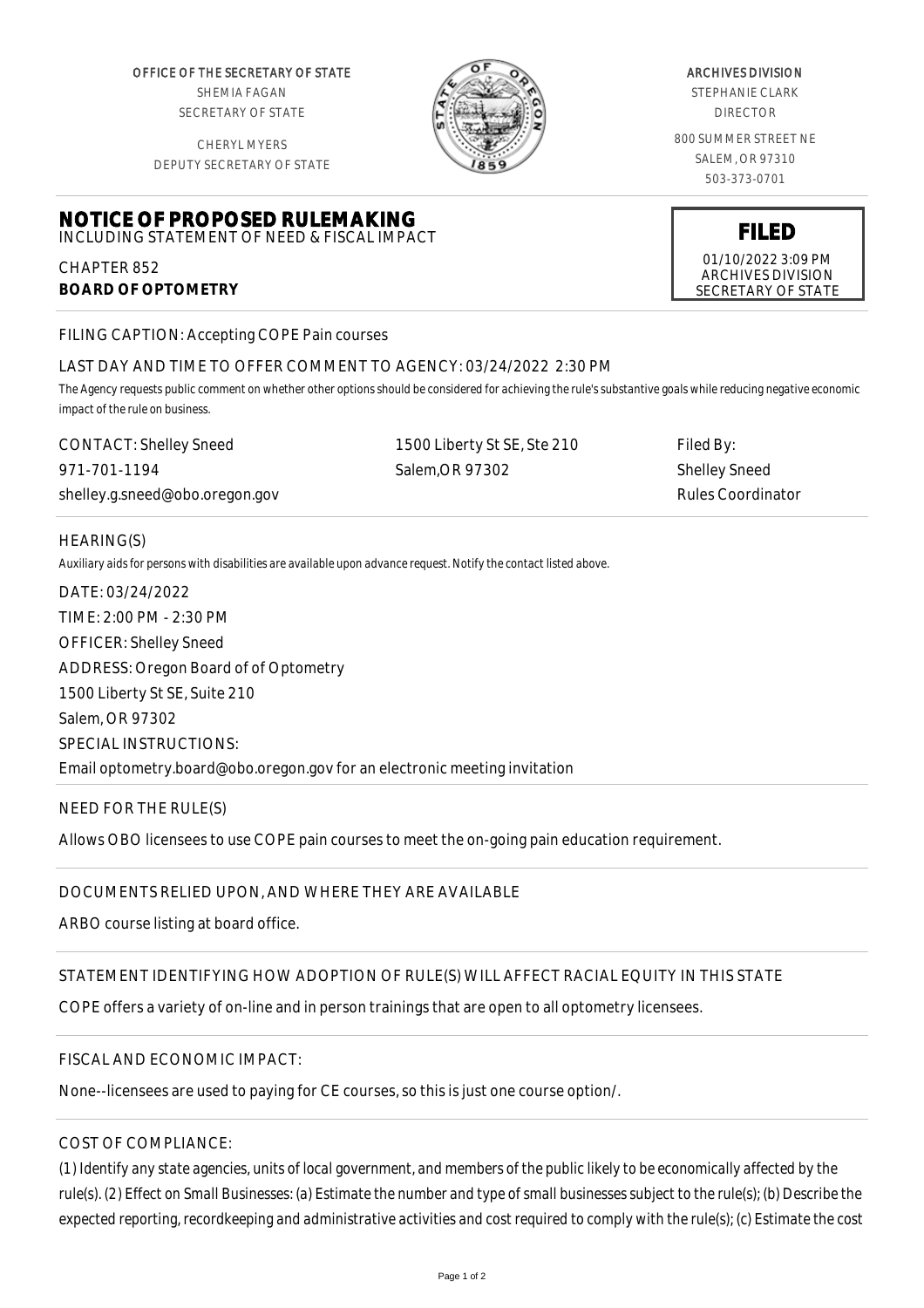OFFICE OF THE SECRETARY OF STATE SHEMIA FAGAN SECRETARY OF STATE

CHERYL MYERS DEPUTY SECRETARY OF STATE



#### ARCHIVES DIVISION

STEPHANIE CLARK DIRECTOR

800 SUMMER STREET NE SALEM, OR 97310 503-373-0701

**FILED**

01/10/2022 3:09 PM ARCHIVES DIVISION SECRETARY OF STATE

**NOTICE OF PROPOSED RULEMAKING**

INCLUDING STATEMENT OF NEED & FISCAL IMPACT CHAPTER 852

**BOARD OF OPTOMETRY**

FILING CAPTION: Accepting COPE Pain courses

# LAST DAY AND TIME TO OFFER COMMENT TO AGENCY: 03/24/2022 2:30 PM

*The Agency requests public comment on whether other options should be considered for achieving the rule's substantive goals while reducing negative economic impact of the rule on business.*

| <b>CONTACT: Shelley Sneed</b>  | 1500 Liberty St SE, Ste 210 | Filed By:         |
|--------------------------------|-----------------------------|-------------------|
| 971-701-1194                   | Salem.OR 97302              | Shelley Sneed     |
| shelley.g.sneed@obo.oregon.gov |                             | Rules Coordinator |

### HEARING(S)

*Auxiliary aids for persons with disabilities are available upon advance request. Notify the contact listed above.*

DATE: 03/24/2022 TIME: 2:00 PM - 2:30 PM OFFICER: Shelley Sneed ADDRESS: Oregon Board of of Optometry 1500 Liberty St SE, Suite 210 Salem, OR 97302 SPECIAL INSTRUCTIONS: Email optometry.board@obo.oregon.gov for an electronic meeting invitation

# NEED FOR THE RULE(S)

Allows OBO licensees to use COPE pain courses to meet the on-going pain education requirement.

# DOCUMENTS RELIED UPON, AND WHERE THEY ARE AVAILABLE

ARBO course listing at board office.

# STATEMENT IDENTIFYING HOW ADOPTION OF RULE(S) WILL AFFECT RACIAL EQUITY IN THIS STATE

COPE offers a variety of on-line and in person trainings that are open to all optometry licensees.

# FISCAL AND ECONOMIC IMPACT:

None--licensees are used to paying for CE courses, so this is just one course option/.

# COST OF COMPLIANCE:

*(1) Identify any state agencies, units of local government, and members of the public likely to be economically affected by the rule(s). (2) Effect on Small Businesses: (a) Estimate the number and type of small businesses subject to the rule(s); (b) Describe the expected reporting, recordkeeping and administrative activities and cost required to comply with the rule(s); (c) Estimate the cost*